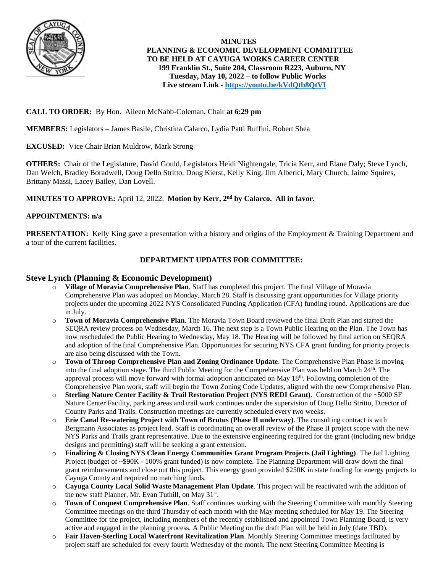

 **MINUTES PLANNING & ECONOMIC DEVELOPMENT COMMITTEE TO BE HELD AT CAYUGA WORKS CAREER CENTER 199 Franklin St., Suite 204, Classroom R223, Auburn, NY Tuesday, May 10, 2022 – to follow Public Works Live stream Link - <https://youtu.be/kVdQtb8QtVI>**

### **CALL TO ORDER:** By Hon. Aileen McNabb-Coleman, Chair **at 6:29 pm**

**MEMBERS:** Legislators – James Basile, Christina Calarco, Lydia Patti Ruffini, Robert Shea

**EXCUSED:** Vice Chair Brian Muldrow, Mark Strong

**OTHERS:** Chair of the Legislature, David Gould, Legislators Heidi Nightengale, Tricia Kerr, and Elane Daly; Steve Lynch, Dan Welch, Bradley Boradwell, Doug Dello Stritto, Doug Kierst, Kelly King, Jim Alberici, Mary Church, Jaime Squires, Brittany Massi, Lacey Bailey, Dan Lovell.

**MINUTES TO APPROVE:** April 12, 2022. **Motion by Kerr, 2nd by Calarco. All in favor.**

#### **APPOINTMENTS: n/a**

**PRESENTATION:** Kelly King gave a presentation with a history and origins of the Employment & Training Department and a tour of the current facilities.

### **DEPARTMENT UPDATES FOR COMMITTEE:**

#### **Steve Lynch (Planning & Economic Development)**

- o **Village of Moravia Comprehensive Plan**. Staff has completed this project. The final Village of Moravia Comprehensive Plan was adopted on Monday, March 28. Staff is discussing grant opportunities for Village priority projects under the upcoming 2022 NYS Consolidated Funding Application (CFA) funding round. Applications are due in July.
- o **Town of Moravia Comprehensive Plan**. The Moravia Town Board reviewed the final Draft Plan and started the SEQRA review process on Wednesday, March 16. The next step is a Town Public Hearing on the Plan. The Town has now rescheduled the Public Hearing to Wednesday, May 18. The Hearing will be followed by final action on SEQRA and adoption of the final Comprehensive Plan. Opportunities for securing NYS CFA grant funding for priority projects are also being discussed with the Town.
- Town of Throop Comprehensive Plan and Zoning Ordinance Update. The Comprehensive Plan Phase is moving into the final adoption stage. The third Public Meeting for the Comprehensive Plan was held on March 24<sup>th</sup>. The approval process will move forward with formal adoption anticipated on May 18th. Following completion of the Comprehensive Plan work, staff will begin the Town Zoning Code Updates, aligned with the new Comprehensive Plan.
- o **Sterling Nature Center Facility & Trail Restoration Project (NYS REDI Grant)**. Construction of the ~5000 SF Nature Center Facility, parking areas and trail work continues under the supervision of Doug Dello Stritto, Director of County Parks and Trails. Construction meetings are currently scheduled every two weeks.
- o **Erie Canal Re-watering Project with Town of Brutus (Phase II underway)**. The consulting contract is with Bergmann Associates as project lead. Staff is coordinating an overall review of the Phase II project scope with the new NYS Parks and Trails grant representative. Due to the extensive engineering required for the grant (including new bridge designs and permitting) staff will be seeking a grant extension.
- Finalizing & Closing NYS Clean Energy Communities Grant Program Projects (Jail Lighting). The Jail Lighting Project (budget of ~\$90K - 100% grant funded) is now complete. The Planning Department will draw down the final grant reimbursements and close out this project. This energy grant provided \$250K in state funding for energy projects to Cayuga County and required no matching funds.
- o **Cayuga County Local Solid Waste Management Plan Update**. This project will be reactivated with the addition of the new staff Planner, Mr. Evan Tuthill, on May 31<sup>st</sup>.
- o **Town of Conquest Comprehensive Plan**. Staff continues working with the Steering Committee with monthly Steering Committee meetings on the third Thursday of each month with the May meeting scheduled for May 19. The Steering Committee for the project, including members of the recently established and appointed Town Planning Board, is very active and engaged in the planning process. A Public Meeting on the draft Plan will be held in July (date TBD).
- o **Fair Haven-Sterling Local Waterfront Revitalization Plan**. Monthly Steering Committee meetings facilitated by project staff are scheduled for every fourth Wednesday of the month. The next Steering Committee Meeting is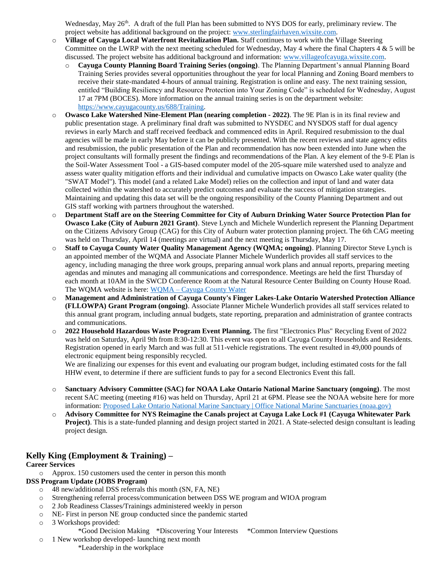Wednesday, May 26<sup>th</sup>. A draft of the full Plan has been submitted to NYS DOS for early, preliminary review. The project website has additional background on the project[: www.sterlingfairhaven.wixsite.com.](http://www.sterlingfairhaven.wixsite.com/)

- o **Village of Cayuga Local Waterfront Revitalization Plan.** Staff continues to work with the Village Steering Committee on the LWRP with the next meeting scheduled for Wednesday, May 4 where the final Chapters  $4 \& 5$  will be discussed. The project website has additional background and information: [www.villageofcayuga.wixsite.com.](http://www.villageofcayuga.wixsite.com/)
	- o **Cayuga County Planning Board Training Series (ongoing)**. The Planning Department's annual Planning Board Training Series provides several opportunities throughout the year for local Planning and Zoning Board members to receive their state-mandated 4-hours of annual training. Registration is online and easy. The next training session, entitled "Building Resiliency and Resource Protection into Your Zoning Code" is scheduled for Wednesday, August 17 at 7PM (BOCES). More information on the annual training series is on the department website: [https://www.cayugacounty.us/688/Training.](https://www.cayugacounty.us/688/Training)
- o **Owasco Lake Watershed Nine-Element Plan (nearing completion - 2022)**. The 9E Plan is in its final review and public presentation stage. A preliminary final draft was submitted to NYSDEC and NYSDOS staff for dual agency reviews in early March and staff received feedback and commenced edits in April. Required resubmission to the dual agencies will be made in early May before it can be publicly presented. With the recent reviews and state agency edits and resubmission, the public presentation of the Plan and recommendation has now been extended into June when the project consultants will formally present the findings and recommendations of the Plan. A key element of the 9-E Plan is the Soil-Water Assessment Tool - a GIS-based computer model of the 205-square mile watershed used to analyze and assess water quality mitigation efforts and their individual and cumulative impacts on Owasco Lake water quality (the "SWAT Model"). This model (and a related Lake Model) relies on the collection and input of land and water data collected within the watershed to accurately predict outcomes and evaluate the success of mitigation strategies. Maintaining and updating this data set will be the ongoing responsibility of the County Planning Department and out GIS staff working with partners throughout the watershed.
- o **Department Staff are on the Steering Committee for City of Auburn Drinking Water Source Protection Plan for Owasco Lake (City of Auburn 2021 Grant)**. Steve Lynch and Michele Wunderlich represent the Planning Department on the Citizens Advisory Group (CAG) for this City of Auburn water protection planning project. The 6th CAG meeting was held on Thursday, April 14 (meetings are virtual) and the next meeting is Thursday, May 17.
- o **Staff to Cayuga County Water Quality Management Agency (WQMA; ongoing)**. Planning Director Steve Lynch is an appointed member of the WQMA and Associate Planner Michele Wunderlich provides all staff services to the agency, including managing the three work groups, preparing annual work plans and annual reports, preparing meeting agendas and minutes and managing all communications and correspondence. Meetings are held the first Thursday of each month at 10AM in the SWCD Conference Room at the Natural Resource Center Building on County House Road. The WQMA website is here: WQMA – [Cayuga County Water](http://cayugacountywater.org/)
- o **Management and Administration of Cayuga County's Finger Lakes-Lake Ontario Watershed Protection Alliance (FLLOWPA) Grant Program (ongoing)**. Associate Planner Michele Wunderlich provides all staff services related to this annual grant program, including annual budgets, state reporting, preparation and administration of grantee contracts and communications.
- o **2022 Household Hazardous Waste Program Event Planning.** The first "Electronics Plus" Recycling Event of 2022 was held on Saturday, April 9th from 8:30-12:30. This event was open to all Cayuga County Households and Residents. Registration opened in early March and was full at 511-vehicle registrations. The event resulted in 49,000 pounds of electronic equipment being responsibly recycled.

We are finalizing our expenses for this event and evaluating our program budget, including estimated costs for the fall HHW event, to determine if there are sufficient funds to pay for a second Electronics Event this fall.

- o **Sanctuary Advisory Committee (SAC) for NOAA Lake Ontario National Marine Sanctuary (ongoing)**. The most recent SAC meeting (meeting #16) was held on Thursday, April 21 at 6PM. Please see the NOAA website here for more information: [Proposed Lake Ontario National Marine Sanctuary | Office National Marine Sanctuaries \(noaa.gov\)](https://sanctuaries.noaa.gov/lake-ontario/)
- o **Advisory Committee for NYS Reimagine the Canals project at Cayuga Lake Lock #1 (Cayuga Whitewater Park Project)**. This is a state-funded planning and design project started in 2021. A State-selected design consultant is leading project design.

## **Kelly King (Employment & Training) –**

### **Career Services**

o Approx. 150 customers used the center in person this month

### **DSS Program Update (JOBS Program)**

- o 48 new/additional DSS referrals this month (SN, FA, NE)
- o Strengthening referral process/communication between DSS WE program and WIOA program
- o 2 Job Readiness Classes/Trainings administered weekly in person
- o NE- First in person NE group conducted since the pandemic started
- o 3 Workshops provided:
	- \*Good Decision Making \*Discovering Your Interests \*Common Interview Questions
- o 1 New workshop developed- launching next month \*Leadership in the workplace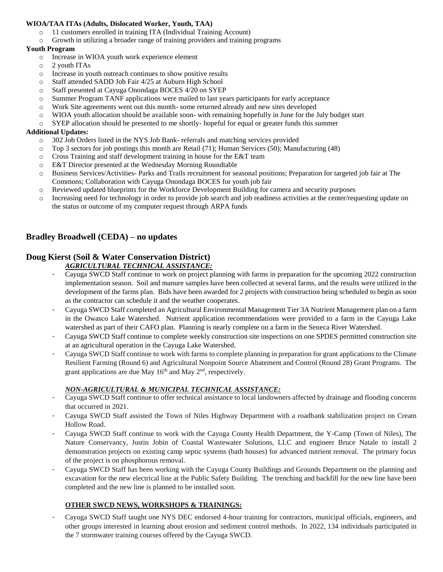### **WIOA/TAA ITAs (Adults, Dislocated Worker, Youth, TAA)**

- o 11 customers enrolled in training ITA (Individual Training Account)
- o Growth in utilizing a broader range of training providers and training programs

### **Youth Program**

- o Increase in WIOA youth work experience element
- o 2 youth ITAs
- o Increase in youth outreach continues to show positive results
- o Staff attended SADD Job Fair 4/25 at Auburn High School
- o Staff presented at Cayuga Onondaga BOCES 4/20 on SYEP
- o Summer Program TANF applications were mailed to last years participants for early acceptance
- o Work Site agreements went out this month- some returned already and new sites developed
- o WIOA youth allocation should be available soon- with remaining hopefully in June for the July budget start
- o SYEP allocation should be presented to me shortly- hopeful for equal or greater funds this summer

#### **Additional Updates:**

- o 302 Job Orders listed in the NYS Job Bank- referrals and matching services provided
- o Top 3 sectors for job postings this month are Retail (71); Human Services (50); Manufacturing (48)
- o Cross Training and staff development training in house for the E&T team
- o E&T Director presented at the Wednesday Morning Roundtable
- o Business Services/Activities- Parks and Trails recruitment for seasonal positions; Preparation for targeted job fair at The Commons; Collaboration with Cayuga Onondaga BOCES for youth job fair
- o Reviewed updated blueprints for the Workforce Development Building for camera and security purposes
- o Increasing need for technology in order to provide job search and job readiness activities at the center/requesting update on the status or outcome of my computer request through ARPA funds

## **Bradley Broadwell (CEDA) – no updates**

# **Doug Kierst (Soil & Water Conservation District)**

### *AGRICULTURAL TECHNICAL ASSISTANCE:*

- Cayuga SWCD Staff continue to work on project planning with farms in preparation for the upcoming 2022 construction implementation season. Soil and manure samples have been collected at several farms, and the results were utilized in the development of the farms plan. Bids have been awarded for 2 projects with construction being scheduled to begin as soon as the contractor can schedule it and the weather cooperates.
- Cayuga SWCD Staff completed an Agricultural Environmental Management Tier 3A Nutrient Management plan on a farm in the Owasco Lake Watershed. Nutrient application recommendations were provided to a farm in the Cayuga Lake watershed as part of their CAFO plan. Planning is nearly complete on a farm in the Seneca River Watershed.
- Cayuga SWCD Staff continue to complete weekly construction site inspections on one SPDES permitted construction site at an agricultural operation in the Cayuga Lake Watershed.
- Cayuga SWCD Staff continue to work with farms to complete planning in preparation for grant applications to the Climate Resilient Farming (Round 6) and Agricultural Nonpoint Source Abatement and Control (Round 28) Grant Programs. The grant applications are due May  $16<sup>th</sup>$  and May  $2<sup>nd</sup>$ , respectively.

### *NON-AGRICULTURAL & MUNICIPAL TECHNICAL ASSISTANCE:*

- Cayuga SWCD Staff continue to offer technical assistance to local landowners affected by drainage and flooding concerns that occurred in 2021.
- Cayuga SWCD Staff assisted the Town of Niles Highway Department with a roadbank stabilization project on Cream Hollow Road.
- Cayuga SWCD Staff continue to work with the Cayuga County Health Department, the Y-Camp (Town of Niles), The Nature Conservancy, Justin Jobin of Coastal Wastewater Solutions, LLC and engineer Bruce Natale to install 2 demonstration projects on existing camp septic systems (bath houses) for advanced nutrient removal. The primary focus of the project is on phosphorous removal.
- Cayuga SWCD Staff has been working with the Cayuga County Buildings and Grounds Department on the planning and excavation for the new electrical line at the Public Safety Building. The trenching and backfill for the new line have been completed and the new line is planned to be installed soon.

## **OTHER SWCD NEWS, WORKSHOPS & TRAININGS:**

- Cayuga SWCD Staff taught one NYS DEC endorsed 4-hour training for contractors, municipal officials, engineers, and other groups interested in learning about erosion and sediment control methods. In 2022, 134 individuals participated in the 7 stormwater training courses offered by the Cayuga SWCD.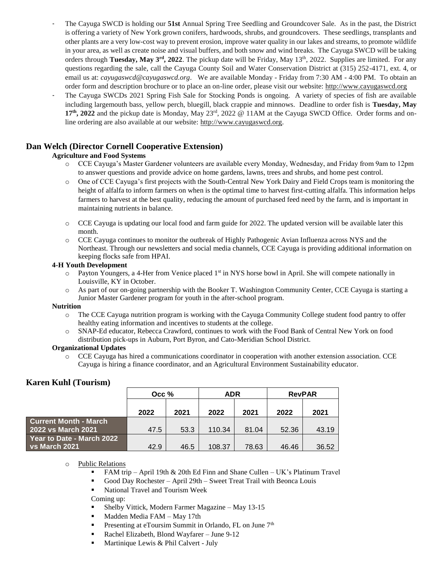- The Cayuga SWCD is holding our **51st** Annual Spring Tree Seedling and Groundcover Sale. As in the past, the District is offering a variety of New York grown conifers, hardwoods, shrubs, and groundcovers. These seedlings, transplants and other plants are a very low-cost way to prevent erosion, improve water quality in our lakes and streams, to promote wildlife in your area, as well as create noise and visual buffers, and both snow and wind breaks. The Cayuga SWCD will be taking orders through **Tuesday, May**  $3^{rd}$ **, 2022.** The pickup date will be Friday, May  $13^{th}$ , 2022. Supplies are limited. For any questions regarding the sale, call the Cayuga County Soil and Water Conservation District at (315) 252-4171, ext. 4, or email us at: *cayugaswcd@cayugaswcd.org*. We are available Monday - Friday from 7:30 AM - 4:00 PM. To obtain an order form and description brochure or to place an on-line order, please visit our website: [http://www.cayugaswcd.org](http://www.cayugaswcd.org/)
- The Cayuga SWCDs 2021 Spring Fish Sale for Stocking Ponds is ongoing. A variety of species of fish are available including largemouth bass, yellow perch, bluegill, black crappie and minnows. Deadline to order fish is **Tuesday, May 17th, 2022** and the pickup date is Monday, May 23rd, 2022 @ 11AM at the Cayuga SWCD Office. Order forms and online ordering are also available at our website: [http://www.cayugaswcd.org.](http://www.cayugaswcd.org/)

## **Dan Welch (Director Cornell Cooperative Extension)**

### **Agriculture and Food Systems**

- o CCE Cayuga's Master Gardener volunteers are available every Monday, Wednesday, and Friday from 9am to 12pm to answer questions and provide advice on home gardens, lawns, trees and shrubs, and home pest control.
- o One of CCE Cayuga's first projects with the South-Central New York Dairy and Field Crops team is monitoring the height of alfalfa to inform farmers on when is the optimal time to harvest first-cutting alfalfa. This information helps farmers to harvest at the best quality, reducing the amount of purchased feed need by the farm, and is important in maintaining nutrients in balance.
- o CCE Cayuga is updating our local food and farm guide for 2022. The updated version will be available later this month.
- o CCE Cayuga continues to monitor the outbreak of Highly Pathogenic Avian Influenza across NYS and the Northeast. Through our newsletters and social media channels, CCE Cayuga is providing additional information on keeping flocks safe from HPAI.

#### **4-H Youth Development**

- o Payton Youngers, a 4-Her from Venice placed 1st in NYS horse bowl in April. She will compete nationally in Louisville, KY in October.
- o As part of our on-going partnership with the Booker T. Washington Community Center, CCE Cayuga is starting a Junior Master Gardener program for youth in the after-school program.

#### **Nutrition**

- o The CCE Cayuga nutrition program is working with the Cayuga Community College student food pantry to offer healthy eating information and incentives to students at the college.
- o SNAP-Ed educator, Rebecca Crawford, continues to work with the Food Bank of Central New York on food distribution pick-ups in Auburn, Port Byron, and Cato-Meridian School District.

### **Organizational Updates**

o CCE Cayuga has hired a communications coordinator in cooperation with another extension association. CCE Cayuga is hiring a finance coordinator, and an Agricultural Environment Sustainability educator.

## **Karen Kuhl (Tourism)**

|                                        | Occ % |      | <b>ADR</b> |       | <b>RevPAR</b> |       |
|----------------------------------------|-------|------|------------|-------|---------------|-------|
|                                        | 2022  | 2021 | 2022       | 2021  | 2022          | 2021  |
|                                        |       |      |            |       |               |       |
| <b>Current Month - March</b>           |       |      |            |       |               |       |
| 2022 vs March 2021                     | 47.5  | 53.3 | 110.34     | 81.04 | 52.36         | 43.19 |
| Year to Date - March 2022              |       |      |            |       |               |       |
| $\overline{\phantom{a}}$ vs March 2021 | 42.9  | 46.5 | 108.37     | 78.63 | 46.46         | 36.52 |

o Public Relations

- **FAM trip** April 19th  $& 20$ th Ed Finn and Shane Cullen UK's Platinum Travel
- Good Day Rochester April 29th Sweet Treat Trail with Beonca Louis
- National Travel and Tourism Week

Coming up:

- Shelby Vittick, Modern Farmer Magazine May 13-15
- **Madden Media FAM May 17th**
- **Presenting at eToursim Summit in Orlando, FL on June**  $7<sup>th</sup>$
- Rachel Elizabeth, Blond Wayfarer June 9-12
- **Martinique Lewis & Phil Calvert July**